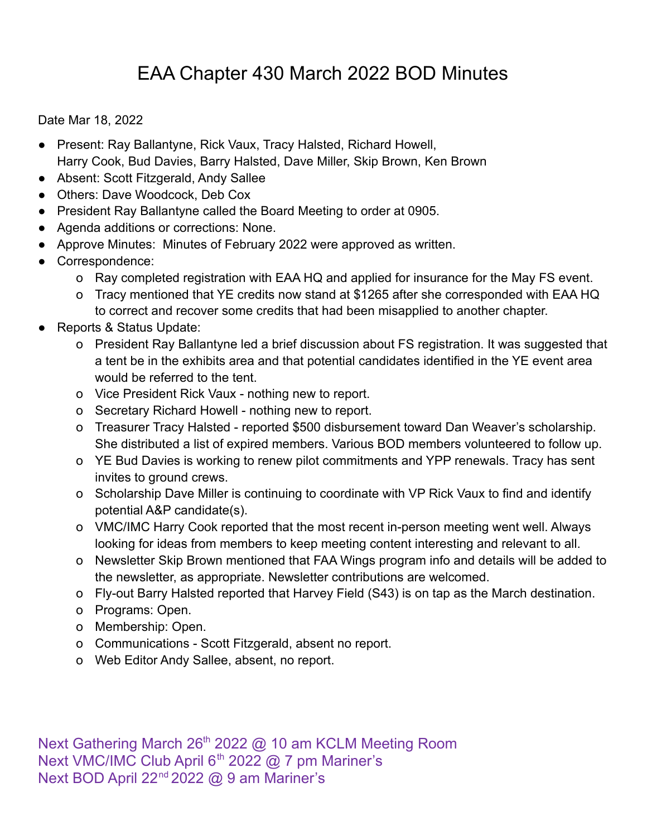## EAA Chapter 430 March 2022 BOD Minutes

Date Mar 18, 2022

- Present: Ray Ballantyne, Rick Vaux, Tracy Halsted, Richard Howell, Harry Cook, Bud Davies, Barry Halsted, Dave Miller, Skip Brown, Ken Brown
- Absent: Scott Fitzgerald, Andy Sallee
- Others: Dave Woodcock, Deb Cox
- President Ray Ballantyne called the Board Meeting to order at 0905.
- Agenda additions or corrections: None.
- Approve Minutes: Minutes of February 2022 were approved as written.
- Correspondence:
	- o Ray completed registration with EAA HQ and applied for insurance for the May FS event.
	- o Tracy mentioned that YE credits now stand at \$1265 after she corresponded with EAA HQ to correct and recover some credits that had been misapplied to another chapter.
- Reports & Status Update:
	- o President Ray Ballantyne led a brief discussion about FS registration. It was suggested that a tent be in the exhibits area and that potential candidates identified in the YE event area would be referred to the tent.
	- o Vice President Rick Vaux nothing new to report.
	- o Secretary Richard Howell nothing new to report.
	- o Treasurer Tracy Halsted reported \$500 disbursement toward Dan Weaver's scholarship. She distributed a list of expired members. Various BOD members volunteered to follow up.
	- o YE Bud Davies is working to renew pilot commitments and YPP renewals. Tracy has sent invites to ground crews.
	- o Scholarship Dave Miller is continuing to coordinate with VP Rick Vaux to find and identify potential A&P candidate(s).
	- o VMC/IMC Harry Cook reported that the most recent in-person meeting went well. Always looking for ideas from members to keep meeting content interesting and relevant to all.
	- o Newsletter Skip Brown mentioned that FAA Wings program info and details will be added to the newsletter, as appropriate. Newsletter contributions are welcomed.
	- o Fly-out Barry Halsted reported that Harvey Field (S43) is on tap as the March destination.
	- o Programs: Open.
	- o Membership: Open.
	- o Communications Scott Fitzgerald, absent no report.
	- o Web Editor Andy Sallee, absent, no report.

Next Gathering March 26<sup>th</sup> 2022 @ 10 am KCLM Meeting Room Next VMC/IMC Club April 6<sup>th</sup> 2022 @ 7 pm Mariner's Next BOD April 22<sup>nd</sup> 2022 @ 9 am Mariner's